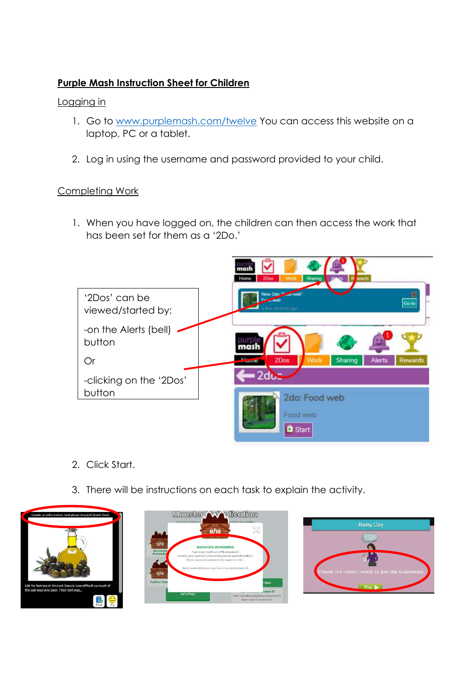# **Purple Mash Instruction Sheet for Children**

### Logging in

- 1. Go to [www.purplemash.com/twelve](http://www.purplemash.com/twelve) You can access this website on a laptop, PC or a tablet.
- 2. Log in using the username and password provided to your child.

### Completing Work

1. When you have logged on, the children can then access the work that has been set for them as a '2Do.'



- 2. Click Start.
- 3. There will be instructions on each task to explain the activity.